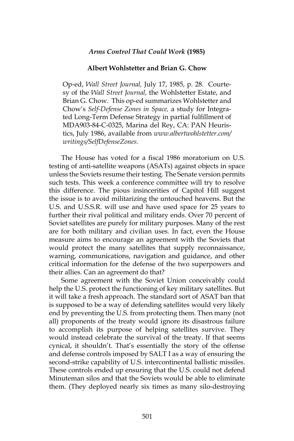## *Arms Control That Could Work* **(1985)**

## **Albert Wohlstetter and Brian G. Chow**

Op-ed, *Wall Street Journal,* July 17, 1985, p. 28. Courtesy of the *Wall Street Journal,* the Wohlstetter Estate, and Brian G. Chow. This op-ed summarizes Wohlstetter and Chow's *Self-Defense Zones in Space,* a study for Integrated Long-Term Defense Strategy in partial fulfillment of MDA903-84-C-0325, Marina del Rey, CA: PAN Heuristics, July 1986, available from *www.albertwohlstetter.com/ writings/SelfDefenseZones*.

The House has voted for a fiscal 1986 moratorium on U.S. testing of anti-satellite weapons (ASATs) against objects in space unless the Soviets resume their testing. The Senate version permits such tests. This week a conference committee will try to resolve this difference. The pious insincerities of Capitol Hill suggest the issue is to avoid militarizing the untouched heavens. But the U.S. and U.S.S.R. will use and have used space for 25 years to further their rival political and military ends. Over 70 percent of Soviet satellites are purely for military purposes. Many of the rest are for both military and civilian uses. In fact, even the House measure aims to encourage an agreement with the Soviets that would protect the many satellites that supply reconnaissance, warning, communications, navigation and guidance, and other critical information for the defense of the two superpowers and their allies. Can an agreement do that?

Some agreement with the Soviet Union conceivably could help the U.S. protect the functioning of key military satellites. But it will take a fresh approach. The standard sort of ASAT ban that is supposed to be a way of defending satellites would very likely end by preventing the U.S. from protecting them. Then many (not all) proponents of the treaty would ignore its disastrous failure to accomplish its purpose of helping satellites survive. They would instead celebrate the survival of the treaty. If that seems cynical, it shouldn't. That's essentially the story of the offense and defense controls imposed by SALT I as a way of ensuring the second-strike capability of U.S. intercontinental ballistic missiles. These controls ended up ensuring that the U.S. could not defend Minuteman silos and that the Soviets would be able to eliminate them. (They deployed nearly six times as many silo-destroying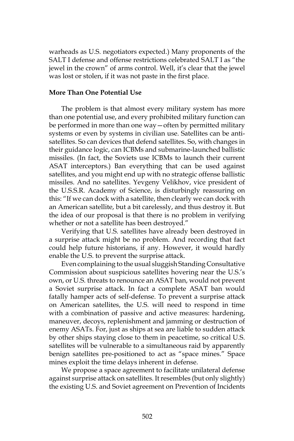warheads as U.S. negotiators expected.) Many proponents of the SALT I defense and offense restrictions celebrated SALT I as "the jewel in the crown" of arms control. Well, it's clear that the jewel was lost or stolen, if it was not paste in the first place.

## **More Than One Potential Use**

The problem is that almost every military system has more than one potential use, and every prohibited military function can be performed in more than one way—often by permitted military systems or even by systems in civilian use. Satellites can be antisatellites. So can devices that defend satellites. So, with changes in their guidance logic, can ICBMs and submarine-launched ballistic missiles. (In fact, the Soviets use ICBMs to launch their current ASAT interceptors.) Ban everything that can be used against satellites, and you might end up with no strategic offense ballistic missiles. And no satellites. Yevgeny Velikhov, vice president of the U.S.S.R. Academy of Science, is disturbingly reassuring on this: "If we can dock with a satellite, then clearly we can dock with an American satellite, but a bit carelessly, and thus destroy it. But the idea of our proposal is that there is no problem in verifying whether or not a satellite has been destroyed."

Verifying that U.S. satellites have already been destroyed in a surprise attack might be no problem. And recording that fact could help future historians, if any. However, it would hardly enable the U.S. to prevent the surprise attack.

Even complaining to the usual sluggish Standing Consultative Commission about suspicious satellites hovering near the U.S.'s own, or U.S. threats to renounce an ASAT ban, would not prevent a Soviet surprise attack. In fact a complete ASAT ban would fatally hamper acts of self-defense. To prevent a surprise attack on American satellites, the U.S. will need to respond in time with a combination of passive and active measures: hardening, maneuver, decoys, replenishment and jamming or destruction of enemy ASATs. For, just as ships at sea are liable to sudden attack by other ships staying close to them in peacetime, so critical U.S. satellites will be vulnerable to a simultaneous raid by apparently benign satellites pre-positioned to act as "space mines." Space mines exploit the time delays inherent in defense.

We propose a space agreement to facilitate unilateral defense against surprise attack on satellites. It resembles (but only slightly) the existing U.S. and Soviet agreement on Prevention of Incidents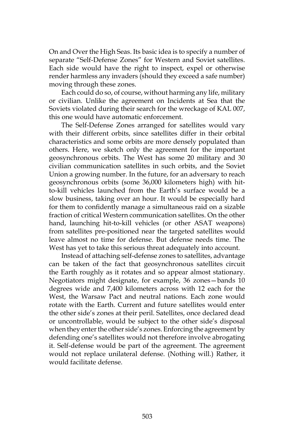On and Over the High Seas. Its basic idea is to specify a number of separate "Self-Defense Zones" for Western and Soviet satellites. Each side would have the right to inspect, expel or otherwise render harmless any invaders (should they exceed a safe number) moving through these zones.

Each could do so, of course, without harming any life, military or civilian. Unlike the agreement on Incidents at Sea that the Soviets violated during their search for the wreckage of KAL 007, this one would have automatic enforcement.

The Self-Defense Zones arranged for satellites would vary with their different orbits, since satellites differ in their orbital characteristics and some orbits are more densely populated than others. Here, we sketch only the agreement for the important geosynchronous orbits. The West has some 20 military and 30 civilian communication satellites in such orbits, and the Soviet Union a growing number. In the future, for an adversary to reach geosynchronous orbits (some 36,000 kilometers high) with hitto-kill vehicles launched from the Earth's surface would be a slow business, taking over an hour. It would be especially hard for them to confidently manage a simultaneous raid on a sizable fraction of critical Western communication satellites. On the other hand, launching hit-to-kill vehicles (or other ASAT weapons) from satellites pre-positioned near the targeted satellites would leave almost no time for defense. But defense needs time. The West has yet to take this serious threat adequately into account.

Instead of attaching self-defense zones to satellites, advantage can be taken of the fact that geosynchronous satellites circuit the Earth roughly as it rotates and so appear almost stationary. Negotiators might designate, for example, 36 zones—bands 10 degrees wide and 7,400 kilometers across with 12 each for the West, the Warsaw Pact and neutral nations. Each zone would rotate with the Earth. Current and future satellites would enter the other side's zones at their peril. Satellites, once declared dead or uncontrollable, would be subject to the other side's disposal when they enter the other side's zones. Enforcing the agreement by defending one's satellites would not therefore involve abrogating it. Self-defense would be part of the agreement. The agreement would not replace unilateral defense. (Nothing will.) Rather, it would facilitate defense.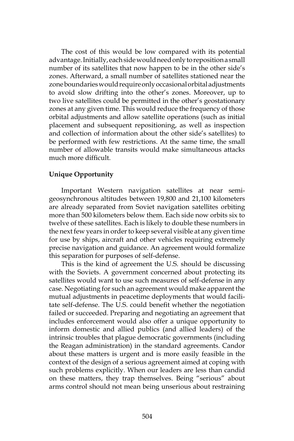The cost of this would be low compared with its potential advantage. Initially, each side would need only to reposition a small number of its satellites that now happen to be in the other side's zones. Afterward, a small number of satellites stationed near the zone boundaries would require only occasional orbital adjustments to avoid slow drifting into the other's zones. Moreover, up to two live satellites could be permitted in the other's geostationary zones at any given time. This would reduce the frequency of those orbital adjustments and allow satellite operations (such as initial placement and subsequent repositioning, as well as inspection and collection of information about the other side's satellites) to be performed with few restrictions. At the same time, the small number of allowable transits would make simultaneous attacks much more difficult.

## **Unique Opportunity**

Important Western navigation satellites at near semigeosynchronous altitudes between 19,800 and 21,100 kilometers are already separated from Soviet navigation satellites orbiting more than 500 kilometers below them. Each side now orbits six to twelve of these satellites. Each is likely to double these numbers in the next few years in order to keep several visible at any given time for use by ships, aircraft and other vehicles requiring extremely precise navigation and guidance. An agreement would formalize this separation for purposes of self-defense.

This is the kind of agreement the U.S. should be discussing with the Soviets. A government concerned about protecting its satellites would want to use such measures of self-defense in any case. Negotiating for such an agreement would make apparent the mutual adjustments in peacetime deployments that would facilitate self-defense. The U.S. could benefit whether the negotiation failed or succeeded. Preparing and negotiating an agreement that includes enforcement would also offer a unique opportunity to inform domestic and allied publics (and allied leaders) of the intrinsic troubles that plague democratic governments (including the Reagan administration) in the standard agreements. Candor about these matters is urgent and is more easily feasible in the context of the design of a serious agreement aimed at coping with such problems explicitly. When our leaders are less than candid on these matters, they trap themselves. Being "serious" about arms control should not mean being unserious about restraining